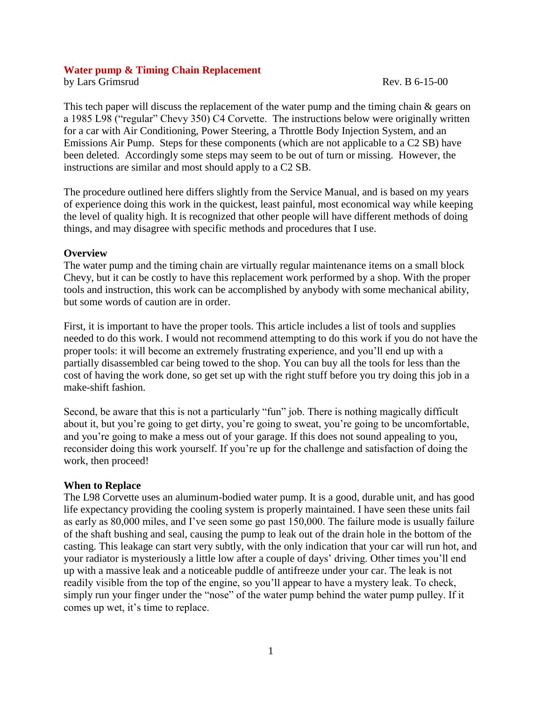#### **Water pump & Timing Chain Replacement**

by Lars Grimsrud Rev. B 6-15-00

This tech paper will discuss the replacement of the water pump and the timing chain & gears on a 1985 L98 ("regular" Chevy 350) C4 Corvette. The instructions below were originally written for a car with Air Conditioning, Power Steering, a Throttle Body Injection System, and an Emissions Air Pump. Steps for these components (which are not applicable to a C2 SB) have been deleted. Accordingly some steps may seem to be out of turn or missing. However, the instructions are similar and most should apply to a C2 SB.

The procedure outlined here differs slightly from the Service Manual, and is based on my years of experience doing this work in the quickest, least painful, most economical way while keeping the level of quality high. It is recognized that other people will have different methods of doing things, and may disagree with specific methods and procedures that I use.

## **Overview**

The water pump and the timing chain are virtually regular maintenance items on a small block Chevy, but it can be costly to have this replacement work performed by a shop. With the proper tools and instruction, this work can be accomplished by anybody with some mechanical ability, but some words of caution are in order.

First, it is important to have the proper tools. This article includes a list of tools and supplies needed to do this work. I would not recommend attempting to do this work if you do not have the proper tools: it will become an extremely frustrating experience, and you'll end up with a partially disassembled car being towed to the shop. You can buy all the tools for less than the cost of having the work done, so get set up with the right stuff before you try doing this job in a make-shift fashion.

Second, be aware that this is not a particularly "fun" job. There is nothing magically difficult about it, but you're going to get dirty, you're going to sweat, you're going to be uncomfortable, and you're going to make a mess out of your garage. If this does not sound appealing to you, reconsider doing this work yourself. If you're up for the challenge and satisfaction of doing the work, then proceed!

#### **When to Replace**

The L98 Corvette uses an aluminum-bodied water pump. It is a good, durable unit, and has good life expectancy providing the cooling system is properly maintained. I have seen these units fail as early as 80,000 miles, and I've seen some go past 150,000. The failure mode is usually failure of the shaft bushing and seal, causing the pump to leak out of the drain hole in the bottom of the casting. This leakage can start very subtly, with the only indication that your car will run hot, and your radiator is mysteriously a little low after a couple of days' driving. Other times you'll end up with a massive leak and a noticeable puddle of antifreeze under your car. The leak is not readily visible from the top of the engine, so you'll appear to have a mystery leak. To check, simply run your finger under the "nose" of the water pump behind the water pump pulley. If it comes up wet, it's time to replace.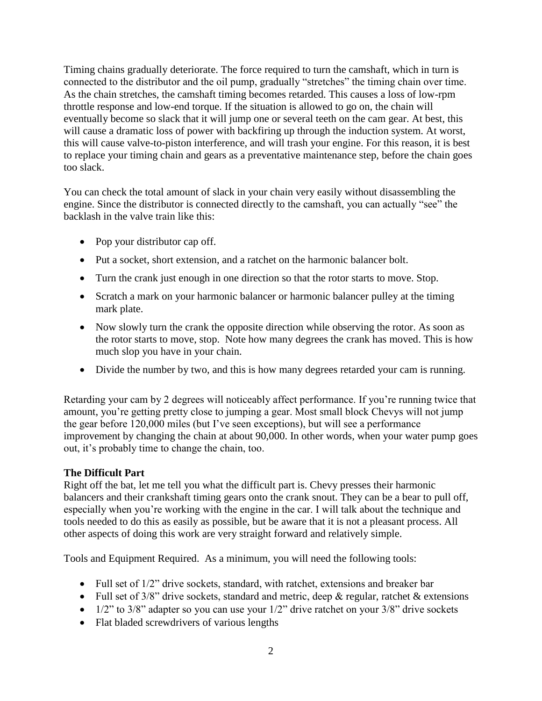Timing chains gradually deteriorate. The force required to turn the camshaft, which in turn is connected to the distributor and the oil pump, gradually "stretches" the timing chain over time. As the chain stretches, the camshaft timing becomes retarded. This causes a loss of low-rpm throttle response and low-end torque. If the situation is allowed to go on, the chain will eventually become so slack that it will jump one or several teeth on the cam gear. At best, this will cause a dramatic loss of power with backfiring up through the induction system. At worst, this will cause valve-to-piston interference, and will trash your engine. For this reason, it is best to replace your timing chain and gears as a preventative maintenance step, before the chain goes too slack.

You can check the total amount of slack in your chain very easily without disassembling the engine. Since the distributor is connected directly to the camshaft, you can actually "see" the backlash in the valve train like this:

- Pop your distributor cap off.
- Put a socket, short extension, and a ratchet on the harmonic balancer bolt.
- Turn the crank just enough in one direction so that the rotor starts to move. Stop.
- Scratch a mark on your harmonic balancer or harmonic balancer pulley at the timing mark plate.
- Now slowly turn the crank the opposite direction while observing the rotor. As soon as the rotor starts to move, stop. Note how many degrees the crank has moved. This is how much slop you have in your chain.
- Divide the number by two, and this is how many degrees retarded your cam is running.

Retarding your cam by 2 degrees will noticeably affect performance. If you're running twice that amount, you're getting pretty close to jumping a gear. Most small block Chevys will not jump the gear before 120,000 miles (but I've seen exceptions), but will see a performance improvement by changing the chain at about 90,000. In other words, when your water pump goes out, it's probably time to change the chain, too.

# **The Difficult Part**

Right off the bat, let me tell you what the difficult part is. Chevy presses their harmonic balancers and their crankshaft timing gears onto the crank snout. They can be a bear to pull off, especially when you're working with the engine in the car. I will talk about the technique and tools needed to do this as easily as possible, but be aware that it is not a pleasant process. All other aspects of doing this work are very straight forward and relatively simple.

Tools and Equipment Required. As a minimum, you will need the following tools:

- Full set of 1/2" drive sockets, standard, with ratchet, extensions and breaker bar
- Full set of  $3/8$ " drive sockets, standard and metric, deep & regular, ratchet & extensions
- $\bullet$  1/2" to 3/8" adapter so you can use your 1/2" drive ratchet on your 3/8" drive sockets
- Flat bladed screwdrivers of various lengths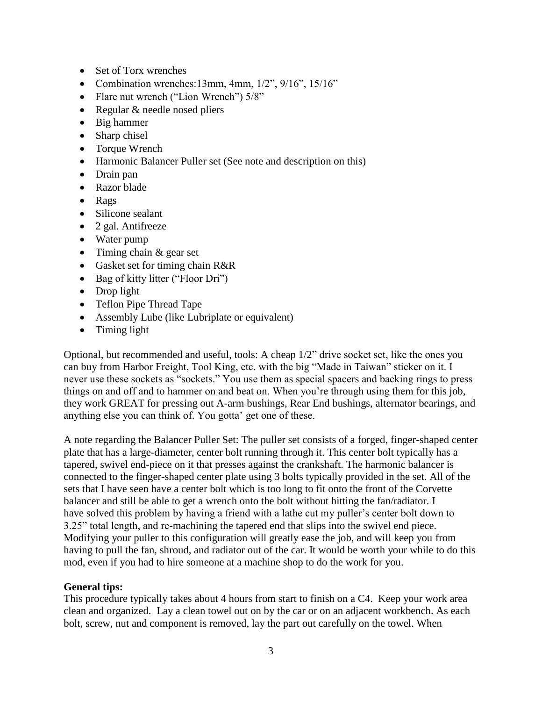- Set of Torx wrenches
- Combination wrenches:13mm, 4mm,  $1/2$ ",  $9/16$ ",  $15/16$ "
- Flare nut wrench ("Lion Wrench")  $5/8$ "
- Regular & needle nosed pliers
- Big hammer
- Sharp chisel
- Torque Wrench
- Harmonic Balancer Puller set (See note and description on this)
- Drain pan
- Razor blade
- Rags
- Silicone sealant
- 2 gal. Antifreeze
- Water pump
- $\bullet$  Timing chain & gear set
- Gasket set for timing chain R&R
- Bag of kitty litter ("Floor Dri")
- Drop light
- Teflon Pipe Thread Tape
- Assembly Lube (like Lubriplate or equivalent)
- Timing light

Optional, but recommended and useful, tools: A cheap 1/2" drive socket set, like the ones you can buy from Harbor Freight, Tool King, etc. with the big "Made in Taiwan" sticker on it. I never use these sockets as "sockets." You use them as special spacers and backing rings to press things on and off and to hammer on and beat on. When you're through using them for this job, they work GREAT for pressing out A-arm bushings, Rear End bushings, alternator bearings, and anything else you can think of. You gotta' get one of these.

A note regarding the Balancer Puller Set: The puller set consists of a forged, finger-shaped center plate that has a large-diameter, center bolt running through it. This center bolt typically has a tapered, swivel end-piece on it that presses against the crankshaft. The harmonic balancer is connected to the finger-shaped center plate using 3 bolts typically provided in the set. All of the sets that I have seen have a center bolt which is too long to fit onto the front of the Corvette balancer and still be able to get a wrench onto the bolt without hitting the fan/radiator. I have solved this problem by having a friend with a lathe cut my puller's center bolt down to 3.25" total length, and re-machining the tapered end that slips into the swivel end piece. Modifying your puller to this configuration will greatly ease the job, and will keep you from having to pull the fan, shroud, and radiator out of the car. It would be worth your while to do this mod, even if you had to hire someone at a machine shop to do the work for you.

### **General tips:**

This procedure typically takes about 4 hours from start to finish on a C4. Keep your work area clean and organized. Lay a clean towel out on by the car or on an adjacent workbench. As each bolt, screw, nut and component is removed, lay the part out carefully on the towel. When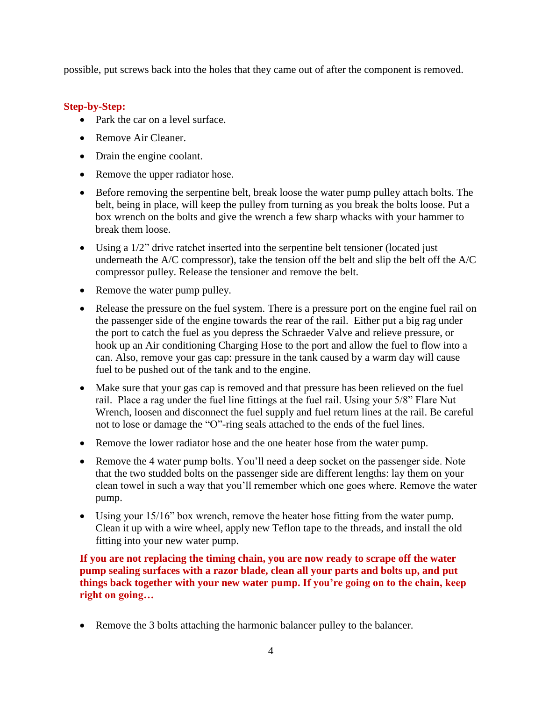possible, put screws back into the holes that they came out of after the component is removed.

## **Step-by-Step:**

- Park the car on a level surface.
- Remove Air Cleaner.
- Drain the engine coolant.
- Remove the upper radiator hose.
- Before removing the serpentine belt, break loose the water pump pulley attach bolts. The belt, being in place, will keep the pulley from turning as you break the bolts loose. Put a box wrench on the bolts and give the wrench a few sharp whacks with your hammer to break them loose.
- Using a 1/2" drive ratchet inserted into the serpentine belt tensioner (located just underneath the A/C compressor), take the tension off the belt and slip the belt off the A/C compressor pulley. Release the tensioner and remove the belt.
- Remove the water pump pulley.
- Release the pressure on the fuel system. There is a pressure port on the engine fuel rail on the passenger side of the engine towards the rear of the rail. Either put a big rag under the port to catch the fuel as you depress the Schraeder Valve and relieve pressure, or hook up an Air conditioning Charging Hose to the port and allow the fuel to flow into a can. Also, remove your gas cap: pressure in the tank caused by a warm day will cause fuel to be pushed out of the tank and to the engine.
- Make sure that your gas cap is removed and that pressure has been relieved on the fuel rail. Place a rag under the fuel line fittings at the fuel rail. Using your 5/8" Flare Nut Wrench, loosen and disconnect the fuel supply and fuel return lines at the rail. Be careful not to lose or damage the "O"-ring seals attached to the ends of the fuel lines.
- Remove the lower radiator hose and the one heater hose from the water pump.
- Remove the 4 water pump bolts. You'll need a deep socket on the passenger side. Note that the two studded bolts on the passenger side are different lengths: lay them on your clean towel in such a way that you'll remember which one goes where. Remove the water pump.
- Using your 15/16" box wrench, remove the heater hose fitting from the water pump. Clean it up with a wire wheel, apply new Teflon tape to the threads, and install the old fitting into your new water pump.

**If you are not replacing the timing chain, you are now ready to scrape off the water pump sealing surfaces with a razor blade, clean all your parts and bolts up, and put things back together with your new water pump. If you're going on to the chain, keep right on going…**

Remove the 3 bolts attaching the harmonic balancer pulley to the balancer.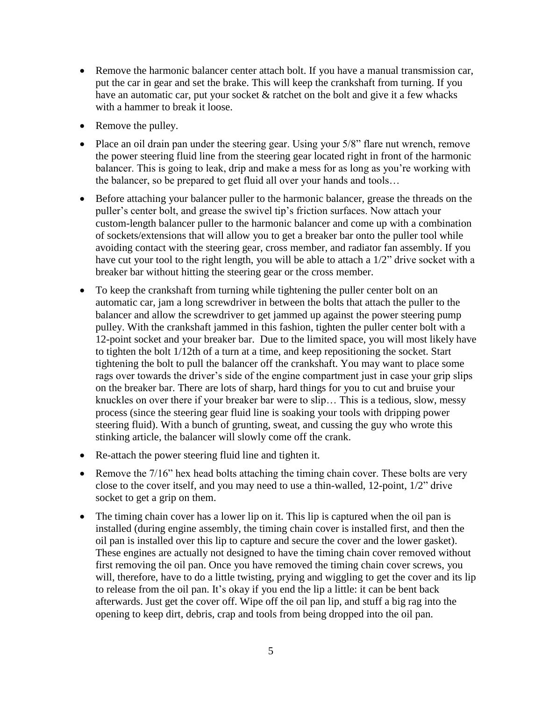- Remove the harmonic balancer center attach bolt. If you have a manual transmission car, put the car in gear and set the brake. This will keep the crankshaft from turning. If you have an automatic car, put your socket & ratchet on the bolt and give it a few whacks with a hammer to break it loose.
- Remove the pulley.
- Place an oil drain pan under the steering gear. Using your 5/8" flare nut wrench, remove the power steering fluid line from the steering gear located right in front of the harmonic balancer. This is going to leak, drip and make a mess for as long as you're working with the balancer, so be prepared to get fluid all over your hands and tools…
- Before attaching your balancer puller to the harmonic balancer, grease the threads on the puller's center bolt, and grease the swivel tip's friction surfaces. Now attach your custom-length balancer puller to the harmonic balancer and come up with a combination of sockets/extensions that will allow you to get a breaker bar onto the puller tool while avoiding contact with the steering gear, cross member, and radiator fan assembly. If you have cut your tool to the right length, you will be able to attach a 1/2" drive socket with a breaker bar without hitting the steering gear or the cross member.
- To keep the crankshaft from turning while tightening the puller center bolt on an automatic car, jam a long screwdriver in between the bolts that attach the puller to the balancer and allow the screwdriver to get jammed up against the power steering pump pulley. With the crankshaft jammed in this fashion, tighten the puller center bolt with a 12-point socket and your breaker bar. Due to the limited space, you will most likely have to tighten the bolt 1/12th of a turn at a time, and keep repositioning the socket. Start tightening the bolt to pull the balancer off the crankshaft. You may want to place some rags over towards the driver's side of the engine compartment just in case your grip slips on the breaker bar. There are lots of sharp, hard things for you to cut and bruise your knuckles on over there if your breaker bar were to slip… This is a tedious, slow, messy process (since the steering gear fluid line is soaking your tools with dripping power steering fluid). With a bunch of grunting, sweat, and cussing the guy who wrote this stinking article, the balancer will slowly come off the crank.
- Re-attach the power steering fluid line and tighten it.
- Remove the 7/16" hex head bolts attaching the timing chain cover. These bolts are very close to the cover itself, and you may need to use a thin-walled, 12-point, 1/2" drive socket to get a grip on them.
- The timing chain cover has a lower lip on it. This lip is captured when the oil pan is installed (during engine assembly, the timing chain cover is installed first, and then the oil pan is installed over this lip to capture and secure the cover and the lower gasket). These engines are actually not designed to have the timing chain cover removed without first removing the oil pan. Once you have removed the timing chain cover screws, you will, therefore, have to do a little twisting, prying and wiggling to get the cover and its lip to release from the oil pan. It's okay if you end the lip a little: it can be bent back afterwards. Just get the cover off. Wipe off the oil pan lip, and stuff a big rag into the opening to keep dirt, debris, crap and tools from being dropped into the oil pan.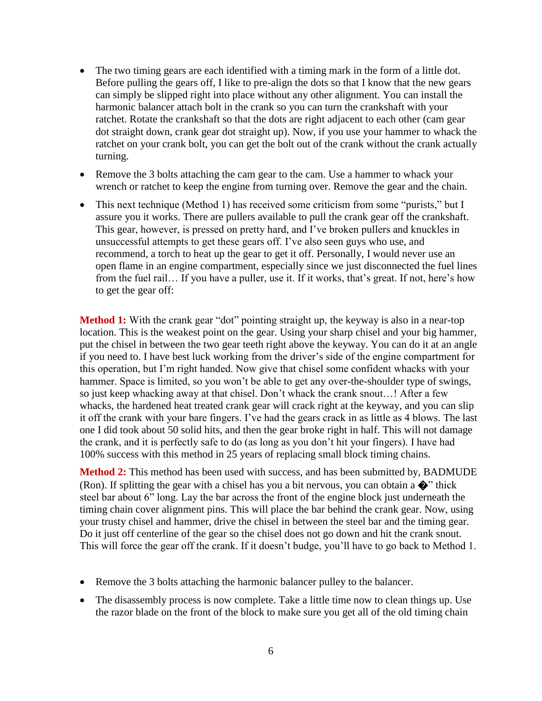- The two timing gears are each identified with a timing mark in the form of a little dot. Before pulling the gears off, I like to pre-align the dots so that I know that the new gears can simply be slipped right into place without any other alignment. You can install the harmonic balancer attach bolt in the crank so you can turn the crankshaft with your ratchet. Rotate the crankshaft so that the dots are right adjacent to each other (cam gear dot straight down, crank gear dot straight up). Now, if you use your hammer to whack the ratchet on your crank bolt, you can get the bolt out of the crank without the crank actually turning.
- Remove the 3 bolts attaching the cam gear to the cam. Use a hammer to whack your wrench or ratchet to keep the engine from turning over. Remove the gear and the chain.
- This next technique (Method 1) has received some criticism from some "purists," but I assure you it works. There are pullers available to pull the crank gear off the crankshaft. This gear, however, is pressed on pretty hard, and I've broken pullers and knuckles in unsuccessful attempts to get these gears off. I've also seen guys who use, and recommend, a torch to heat up the gear to get it off. Personally, I would never use an open flame in an engine compartment, especially since we just disconnected the fuel lines from the fuel rail… If you have a puller, use it. If it works, that's great. If not, here's how to get the gear off:

**Method 1:** With the crank gear "dot" pointing straight up, the keyway is also in a near-top location. This is the weakest point on the gear. Using your sharp chisel and your big hammer, put the chisel in between the two gear teeth right above the keyway. You can do it at an angle if you need to. I have best luck working from the driver's side of the engine compartment for this operation, but I'm right handed. Now give that chisel some confident whacks with your hammer. Space is limited, so you won't be able to get any over-the-shoulder type of swings, so just keep whacking away at that chisel. Don't whack the crank snout…! After a few whacks, the hardened heat treated crank gear will crack right at the keyway, and you can slip it off the crank with your bare fingers. I've had the gears crack in as little as 4 blows. The last one I did took about 50 solid hits, and then the gear broke right in half. This will not damage the crank, and it is perfectly safe to do (as long as you don't hit your fingers). I have had 100% success with this method in 25 years of replacing small block timing chains.

**Method 2:** This method has been used with success, and has been submitted by, BADMUDE (Ron). If splitting the gear with a chisel has you a bit nervous, you can obtain a  $\bullet$  thick steel bar about 6" long. Lay the bar across the front of the engine block just underneath the timing chain cover alignment pins. This will place the bar behind the crank gear. Now, using your trusty chisel and hammer, drive the chisel in between the steel bar and the timing gear. Do it just off centerline of the gear so the chisel does not go down and hit the crank snout. This will force the gear off the crank. If it doesn't budge, you'll have to go back to Method 1.

- Remove the 3 bolts attaching the harmonic balancer pulley to the balancer.
- The disassembly process is now complete. Take a little time now to clean things up. Use the razor blade on the front of the block to make sure you get all of the old timing chain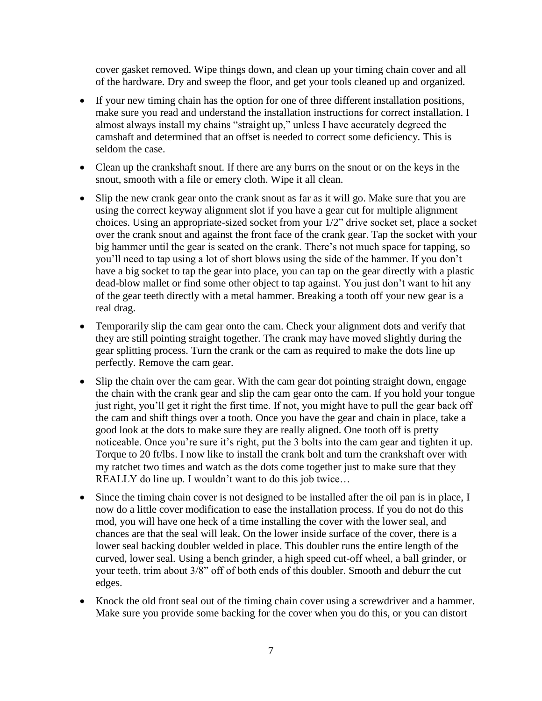cover gasket removed. Wipe things down, and clean up your timing chain cover and all of the hardware. Dry and sweep the floor, and get your tools cleaned up and organized.

- If your new timing chain has the option for one of three different installation positions, make sure you read and understand the installation instructions for correct installation. I almost always install my chains "straight up," unless I have accurately degreed the camshaft and determined that an offset is needed to correct some deficiency. This is seldom the case.
- Clean up the crankshaft snout. If there are any burrs on the snout or on the keys in the snout, smooth with a file or emery cloth. Wipe it all clean.
- Slip the new crank gear onto the crank snout as far as it will go. Make sure that you are using the correct keyway alignment slot if you have a gear cut for multiple alignment choices. Using an appropriate-sized socket from your 1/2" drive socket set, place a socket over the crank snout and against the front face of the crank gear. Tap the socket with your big hammer until the gear is seated on the crank. There's not much space for tapping, so you'll need to tap using a lot of short blows using the side of the hammer. If you don't have a big socket to tap the gear into place, you can tap on the gear directly with a plastic dead-blow mallet or find some other object to tap against. You just don't want to hit any of the gear teeth directly with a metal hammer. Breaking a tooth off your new gear is a real drag.
- Temporarily slip the cam gear onto the cam. Check your alignment dots and verify that they are still pointing straight together. The crank may have moved slightly during the gear splitting process. Turn the crank or the cam as required to make the dots line up perfectly. Remove the cam gear.
- Slip the chain over the cam gear. With the cam gear dot pointing straight down, engage the chain with the crank gear and slip the cam gear onto the cam. If you hold your tongue just right, you'll get it right the first time. If not, you might have to pull the gear back off the cam and shift things over a tooth. Once you have the gear and chain in place, take a good look at the dots to make sure they are really aligned. One tooth off is pretty noticeable. Once you're sure it's right, put the 3 bolts into the cam gear and tighten it up. Torque to 20 ft/lbs. I now like to install the crank bolt and turn the crankshaft over with my ratchet two times and watch as the dots come together just to make sure that they REALLY do line up. I wouldn't want to do this job twice…
- Since the timing chain cover is not designed to be installed after the oil pan is in place, I now do a little cover modification to ease the installation process. If you do not do this mod, you will have one heck of a time installing the cover with the lower seal, and chances are that the seal will leak. On the lower inside surface of the cover, there is a lower seal backing doubler welded in place. This doubler runs the entire length of the curved, lower seal. Using a bench grinder, a high speed cut-off wheel, a ball grinder, or your teeth, trim about 3/8" off of both ends of this doubler. Smooth and deburr the cut edges.
- Knock the old front seal out of the timing chain cover using a screwdriver and a hammer. Make sure you provide some backing for the cover when you do this, or you can distort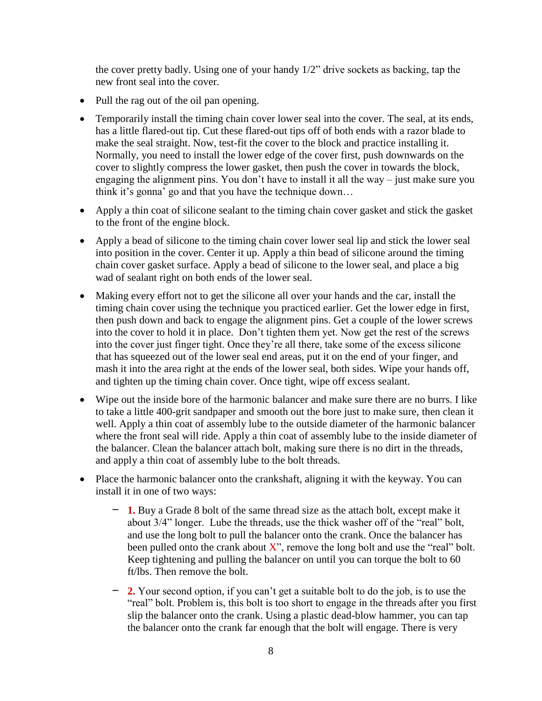the cover pretty badly. Using one of your handy 1/2" drive sockets as backing, tap the new front seal into the cover.

- Pull the rag out of the oil pan opening.
- Temporarily install the timing chain cover lower seal into the cover. The seal, at its ends, has a little flared-out tip. Cut these flared-out tips off of both ends with a razor blade to make the seal straight. Now, test-fit the cover to the block and practice installing it. Normally, you need to install the lower edge of the cover first, push downwards on the cover to slightly compress the lower gasket, then push the cover in towards the block, engaging the alignment pins. You don't have to install it all the way – just make sure you think it's gonna' go and that you have the technique down…
- Apply a thin coat of silicone sealant to the timing chain cover gasket and stick the gasket to the front of the engine block.
- Apply a bead of silicone to the timing chain cover lower seal lip and stick the lower seal into position in the cover. Center it up. Apply a thin bead of silicone around the timing chain cover gasket surface. Apply a bead of silicone to the lower seal, and place a big wad of sealant right on both ends of the lower seal.
- Making every effort not to get the silicone all over your hands and the car, install the timing chain cover using the technique you practiced earlier. Get the lower edge in first, then push down and back to engage the alignment pins. Get a couple of the lower screws into the cover to hold it in place. Don't tighten them yet. Now get the rest of the screws into the cover just finger tight. Once they're all there, take some of the excess silicone that has squeezed out of the lower seal end areas, put it on the end of your finger, and mash it into the area right at the ends of the lower seal, both sides. Wipe your hands off, and tighten up the timing chain cover. Once tight, wipe off excess sealant.
- Wipe out the inside bore of the harmonic balancer and make sure there are no burrs. I like to take a little 400-grit sandpaper and smooth out the bore just to make sure, then clean it well. Apply a thin coat of assembly lube to the outside diameter of the harmonic balancer where the front seal will ride. Apply a thin coat of assembly lube to the inside diameter of the balancer. Clean the balancer attach bolt, making sure there is no dirt in the threads, and apply a thin coat of assembly lube to the bolt threads.
- Place the harmonic balancer onto the crankshaft, aligning it with the keyway. You can install it in one of two ways:
	- **1.** Buy a Grade 8 bolt of the same thread size as the attach bolt, except make it about 3/4" longer. Lube the threads, use the thick washer off of the "real" bolt, and use the long bolt to pull the balancer onto the crank. Once the balancer has been pulled onto the crank about  $X$ ", remove the long bolt and use the "real" bolt. Keep tightening and pulling the balancer on until you can torque the bolt to 60 ft/lbs. Then remove the bolt.
	- **2.** Your second option, if you can't get a suitable bolt to do the job, is to use the "real" bolt. Problem is, this bolt is too short to engage in the threads after you first slip the balancer onto the crank. Using a plastic dead-blow hammer, you can tap the balancer onto the crank far enough that the bolt will engage. There is very